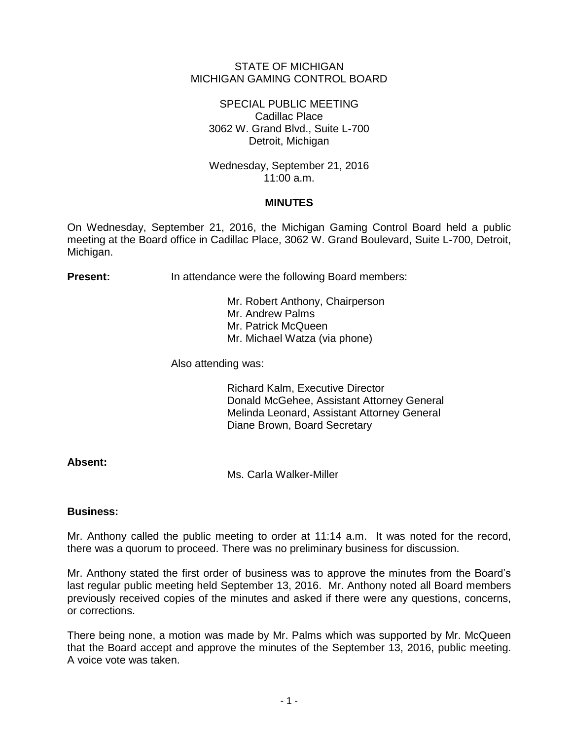### STATE OF MICHIGAN MICHIGAN GAMING CONTROL BOARD

# SPECIAL PUBLIC MEETING Cadillac Place 3062 W. Grand Blvd., Suite L-700 Detroit, Michigan

### Wednesday, September 21, 2016  $11:00$  a.m.

# **MINUTES**

On Wednesday, September 21, 2016, the Michigan Gaming Control Board held a public meeting at the Board office in Cadillac Place, 3062 W. Grand Boulevard, Suite L-700, Detroit, Michigan.

**Present:** In attendance were the following Board members:

Mr. Robert Anthony, Chairperson Mr. Andrew Palms Mr. Patrick McQueen Mr. Michael Watza (via phone)

Also attending was:

Richard Kalm, Executive Director Donald McGehee, Assistant Attorney General Melinda Leonard, Assistant Attorney General Diane Brown, Board Secretary

# **Absent:**

Ms. Carla Walker-Miller

#### **Business:**

Mr. Anthony called the public meeting to order at 11:14 a.m. It was noted for the record, there was a quorum to proceed. There was no preliminary business for discussion.

Mr. Anthony stated the first order of business was to approve the minutes from the Board's last regular public meeting held September 13, 2016. Mr. Anthony noted all Board members previously received copies of the minutes and asked if there were any questions, concerns, or corrections.

There being none, a motion was made by Mr. Palms which was supported by Mr. McQueen that the Board accept and approve the minutes of the September 13, 2016, public meeting. A voice vote was taken.